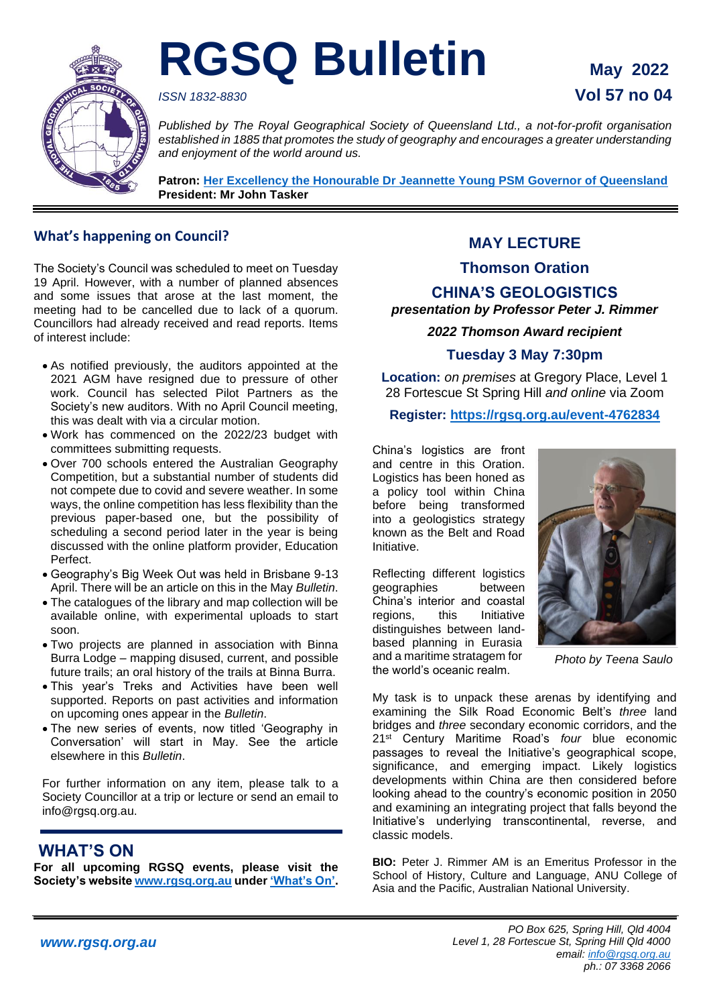

# **RGSQ Bulletin May 2022**

## *ISSN 1832-8830* **Vol 57 no 04**

*Published by The Royal Geographical Society of Queensland Ltd., a not-for-profit organisation established in 1885 that promotes the study of geography and encourages a greater understanding and enjoyment of the world around us.*

**Patron: Her Excellency the Honourable Dr [Jeannette Young PSM Governor of Queensland](https://www.govhouse.qld.gov.au/the-governor-of-queensland/about-the-governor/the-governor-s-biography) President: Mr John Tasker**

#### **What's happening on Council?**

The Society's Council was scheduled to meet on Tuesday 19 April. However, with a number of planned absences and some issues that arose at the last moment, the meeting had to be cancelled due to lack of a quorum. Councillors had already received and read reports. Items of interest include:

- As notified previously, the auditors appointed at the 2021 AGM have resigned due to pressure of other work. Council has selected Pilot Partners as the Society's new auditors. With no April Council meeting, this was dealt with via a circular motion.
- Work has commenced on the 2022/23 budget with committees submitting requests.
- Over 700 schools entered the Australian Geography Competition, but a substantial number of students did not compete due to covid and severe weather. In some ways, the online competition has less flexibility than the previous paper-based one, but the possibility of scheduling a second period later in the year is being discussed with the online platform provider, Education Perfect.
- Geography's Big Week Out was held in Brisbane 9-13 April. There will be an article on this in the May *Bulletin*.
- The catalogues of the library and map collection will be available online, with experimental uploads to start soon.
- Two projects are planned in association with Binna Burra Lodge – mapping disused, current, and possible future trails; an oral history of the trails at Binna Burra.
- This year's Treks and Activities have been well supported. Reports on past activities and information on upcoming ones appear in the *Bulletin*.
- The new series of events, now titled 'Geography in Conversation' will start in May. See the article elsewhere in this *Bulletin*.

For further information on any item, please talk to a Society Councillor at a trip or lecture or send an email to info@rgsq.org.au.

## **WHAT'S ON**

**For all upcoming RGSQ events, please visit the Society's website [www.rgsq.org.au](http://www.rgsq.org.au/) unde[r 'What's On'.](https://rgsq.org.au/whatson)**

## **MAY LECTURE**

#### **Thomson Oration**

### **CHINA'S GEOLOGISTICS**

*presentation by Professor Peter J. Rimmer*

*2022 Thomson Award recipient*

#### **Tuesday 3 May 7:30pm**

**Location:** *on premises* at Gregory Place, Level 1 28 Fortescue St Spring Hill *and online* via Zoom

**Register:<https://rgsq.org.au/event-4762834>**

China's logistics are front and centre in this Oration. Logistics has been honed as a policy tool within China before being transformed into a geologistics strategy known as the Belt and Road Initiative.

Reflecting different logistics geographies between China's interior and coastal regions, this Initiative distinguishes between landbased planning in Eurasia and a maritime stratagem for the world's oceanic realm.



*Photo by Teena Saulo*

My task is to unpack these arenas by identifying and examining the Silk Road Economic Belt's *three* land bridges and *three* secondary economic corridors, and the 21st Century Maritime Road's *four* blue economic passages to reveal the Initiative's geographical scope, significance, and emerging impact. Likely logistics developments within China are then considered before looking ahead to the country's economic position in 2050 and examining an integrating project that falls beyond the Initiative's underlying transcontinental, reverse, and classic models.

**BIO:** Peter J. Rimmer AM is an Emeritus Professor in the School of History, Culture and Language, ANU College of Asia and the Pacific, Australian National University.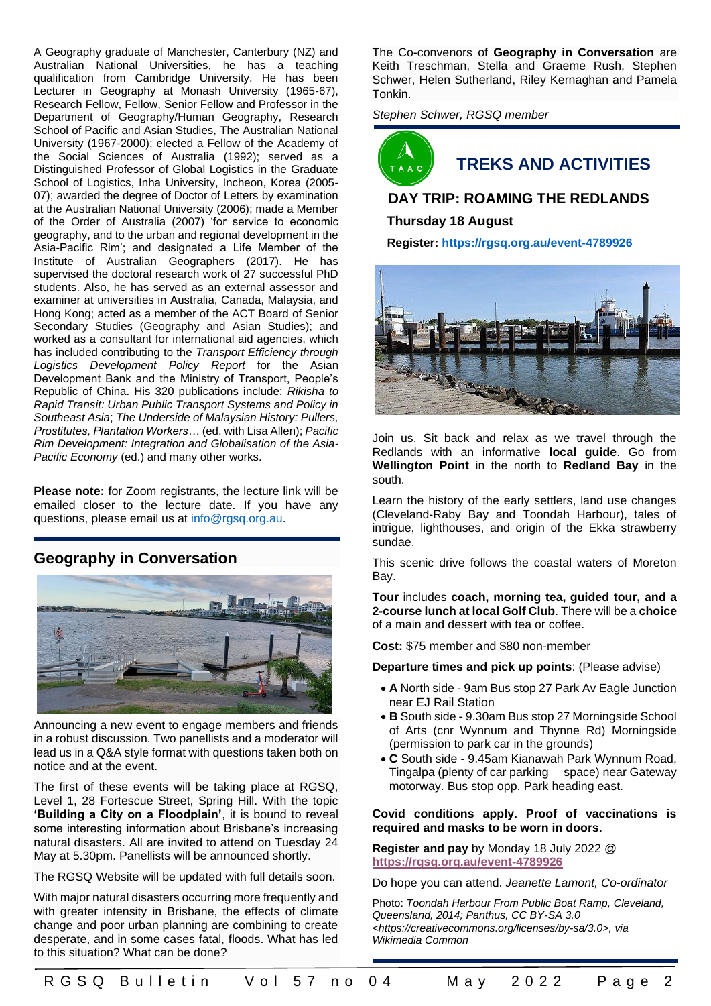A Geography graduate of Manchester, Canterbury (NZ) and Australian National Universities, he has a teaching qualification from Cambridge University. He has been Lecturer in Geography at Monash University (1965-67), Research Fellow, Fellow, Senior Fellow and Professor in the Department of Geography/Human Geography, Research School of Pacific and Asian Studies, The Australian National University (1967-2000); elected a Fellow of the Academy of the Social Sciences of Australia (1992); served as a Distinguished Professor of Global Logistics in the Graduate School of Logistics, Inha University, Incheon, Korea (2005- 07); awarded the degree of Doctor of Letters by examination at the Australian National University (2006); made a Member of the Order of Australia (2007) 'for service to economic geography, and to the urban and regional development in the Asia-Pacific Rim'; and designated a Life Member of the Institute of Australian Geographers (2017). He has supervised the doctoral research work of 27 successful PhD students. Also, he has served as an external assessor and examiner at universities in Australia, Canada, Malaysia, and Hong Kong; acted as a member of the ACT Board of Senior Secondary Studies (Geography and Asian Studies); and worked as a consultant for international aid agencies, which has included contributing to the *Transport Efficiency through Logistics Development Policy Report* for the Asian Development Bank and the Ministry of Transport, People's Republic of China. His 320 publications include: *Rikisha to Rapid Transit: Urban Public Transport Systems and Policy in Southeast Asia*; *The Underside of Malaysian History: Pullers, Prostitutes, Plantation Workers…* (ed. with Lisa Allen); *Pacific Rim Development: Integration and Globalisation of the Asia-Pacific Economy* (ed.) and many other works.

**Please note:** for Zoom registrants, the lecture link will be emailed closer to the lecture date. If you have any questions, please email us at [info@rgsq.org.au.](mailto:info@rgsq.org.au)

#### **Geography in Conversation**



Announcing a new event to engage members and friends in a robust discussion. Two panellists and a moderator will lead us in a Q&A style format with questions taken both on notice and at the event.

The first of these events will be taking place at RGSQ, Level 1, 28 Fortescue Street, Spring Hill. With the topic **'Building a City on a Floodplain'**, it is bound to reveal some interesting information about Brisbane's increasing natural disasters. All are invited to attend on Tuesday 24 May at 5.30pm. Panellists will be announced shortly.

The RGSQ Website will be updated with full details soon.

With major natural disasters occurring more frequently and with greater intensity in Brisbane, the effects of climate change and poor urban planning are combining to create desperate, and in some cases fatal, floods. What has led to this situation? What can be done?

The Co-convenors of **Geography in Conversation** are Keith Treschman, Stella and Graeme Rush, Stephen Schwer, Helen Sutherland, Riley Kernaghan and Pamela Tonkin.

*Stephen Schwer, RGSQ member* 



## **TREKS AND ACTIVITIES**

#### **DAY TRIP: ROAMING THE REDLANDS**

#### **Thursday 18 August**

 **Register:<https://rgsq.org.au/event-4789926>**



Join us. Sit back and relax as we travel through the Redlands with an informative **local guide**. Go from **Wellington Point** in the north to **Redland Bay** in the south.

Learn the history of the early settlers, land use changes (Cleveland-Raby Bay and Toondah Harbour), tales of intrigue, lighthouses, and origin of the Ekka strawberry sundae.

This scenic drive follows the coastal waters of Moreton Bay.

**Tour** includes **coach, morning tea, guided tour, and a 2-course lunch at local Golf Club**. There will be a **choice**  of a main and dessert with tea or coffee.

**Cost:** \$75 member and \$80 non-member

**Departure times and pick up points**: (Please advise)

- **A** North side 9am Bus stop 27 Park Av Eagle Junction near EJ Rail Station
- **B** South side 9.30am Bus stop 27 Morningside School of Arts (cnr Wynnum and Thynne Rd) Morningside (permission to park car in the grounds)
- **C** South side 9.45am Kianawah Park Wynnum Road, Tingalpa (plenty of car parking space) near Gateway motorway. Bus stop opp. Park heading east.

#### **Covid conditions apply. Proof of vaccinations is required and masks to be worn in doors.**

**Register and pay** by Monday 18 July 2022 @ **<https://rgsq.org.au/event-4789926>**

Do hope you can attend. *Jeanette Lamont, Co-ordinator*

Photo: *Toondah Harbour From Public Boat Ramp, Cleveland, Queensland, 2014; Panthus, CC BY-SA 3.0 <https://creativecommons.org/licenses/by-sa/3.0>, via Wikimedia Common*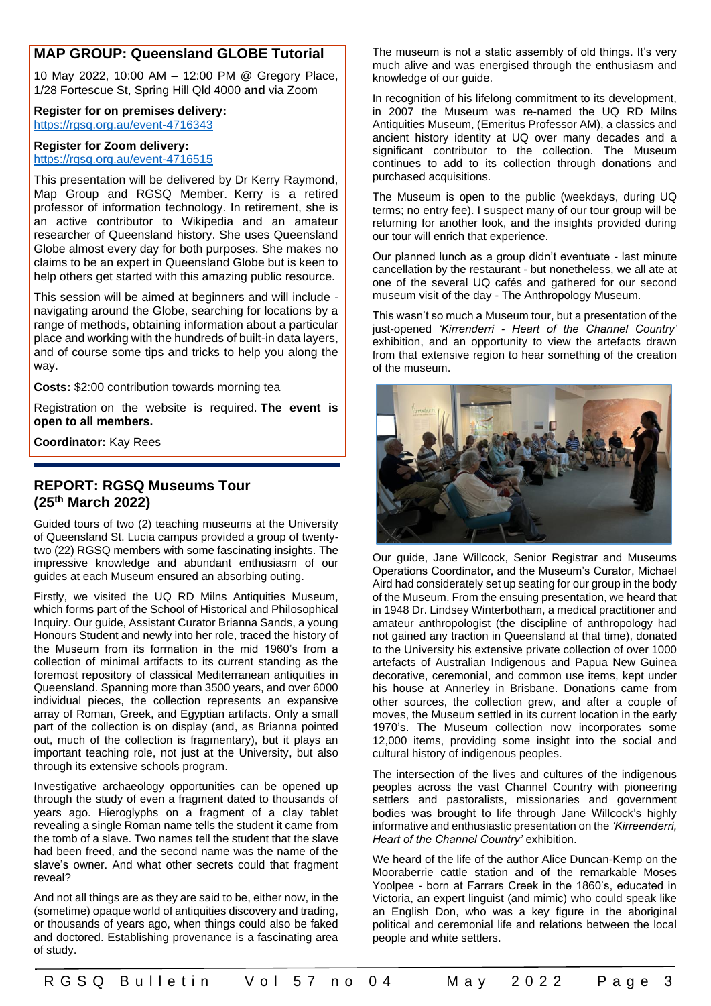#### **MAP GROUP: Queensland GLOBE Tutorial**

10 May 2022, 10:00 AM – 12:00 PM @ Gregory Place, 1/28 Fortescue St, Spring Hill Qld 4000 **and** via Zoom

#### **Register for on premises delivery:** <https://rgsq.org.au/event-4716343>

#### **Register for Zoom delivery:** <https://rgsq.org.au/event-4716515>

This presentation will be delivered by Dr Kerry Raymond, Map Group and RGSQ Member. Kerry is a retired professor of information technology. In retirement, she is an active contributor to Wikipedia and an amateur researcher of Queensland history. She uses Queensland Globe almost every day for both purposes. She makes no claims to be an expert in Queensland Globe but is keen to help others get started with this amazing public resource.

This session will be aimed at beginners and will include navigating around the Globe, searching for locations by a range of methods, obtaining information about a particular place and working with the hundreds of built-in data layers, and of course some tips and tricks to help you along the way.

**Costs:** \$2:00 contribution towards morning tea

Registration on the website is required. **The event is open to all members.**

**Coordinator:** Kay Rees

#### **REPORT: RGSQ Museums Tour (25th March 2022)**

Guided tours of two (2) teaching museums at the University of Queensland St. Lucia campus provided a group of twentytwo (22) RGSQ members with some fascinating insights. The impressive knowledge and abundant enthusiasm of our guides at each Museum ensured an absorbing outing.

Firstly, we visited the UQ RD Milns Antiquities Museum, which forms part of the School of Historical and Philosophical Inquiry. Our guide, Assistant Curator Brianna Sands, a young Honours Student and newly into her role, traced the history of the Museum from its formation in the mid 1960's from a collection of minimal artifacts to its current standing as the foremost repository of classical Mediterranean antiquities in Queensland. Spanning more than 3500 years, and over 6000 individual pieces, the collection represents an expansive array of Roman, Greek, and Egyptian artifacts. Only a small part of the collection is on display (and, as Brianna pointed out, much of the collection is fragmentary), but it plays an important teaching role, not just at the University, but also through its extensive schools program.

Investigative archaeology opportunities can be opened up through the study of even a fragment dated to thousands of years ago. Hieroglyphs on a fragment of a clay tablet revealing a single Roman name tells the student it came from the tomb of a slave. Two names tell the student that the slave had been freed, and the second name was the name of the slave's owner. And what other secrets could that fragment reveal?

And not all things are as they are said to be, either now, in the (sometime) opaque world of antiquities discovery and trading, or thousands of years ago, when things could also be faked and doctored. Establishing provenance is a fascinating area of study.

The museum is not a static assembly of old things. It's very much alive and was energised through the enthusiasm and knowledge of our guide.

In recognition of his lifelong commitment to its development, in 2007 the Museum was re-named the UQ RD Milns Antiquities Museum, (Emeritus Professor AM), a classics and ancient history identity at UQ over many decades and a significant contributor to the collection. The Museum continues to add to its collection through donations and purchased acquisitions.

The Museum is open to the public (weekdays, during UQ terms; no entry fee). I suspect many of our tour group will be returning for another look, and the insights provided during our tour will enrich that experience.

Our planned lunch as a group didn't eventuate - last minute cancellation by the restaurant - but nonetheless, we all ate at one of the several UQ cafés and gathered for our second museum visit of the day - The Anthropology Museum.

This wasn't so much a Museum tour, but a presentation of the just-opened *'Kirrenderri - Heart of the Channel Country'* exhibition, and an opportunity to view the artefacts drawn from that extensive region to hear something of the creation of the museum.



Our guide, Jane Willcock, Senior Registrar and Museums Operations Coordinator, and the Museum's Curator, Michael Aird had considerately set up seating for our group in the body of the Museum. From the ensuing presentation, we heard that in 1948 Dr. Lindsey Winterbotham, a medical practitioner and amateur anthropologist (the discipline of anthropology had not gained any traction in Queensland at that time), donated to the University his extensive private collection of over 1000 artefacts of Australian Indigenous and Papua New Guinea decorative, ceremonial, and common use items, kept under his house at Annerley in Brisbane. Donations came from other sources, the collection grew, and after a couple of moves, the Museum settled in its current location in the early 1970's. The Museum collection now incorporates some 12,000 items, providing some insight into the social and cultural history of indigenous peoples.

The intersection of the lives and cultures of the indigenous peoples across the vast Channel Country with pioneering settlers and pastoralists, missionaries and government bodies was brought to life through Jane Willcock's highly informative and enthusiastic presentation on the *'Kirreenderri, Heart of the Channel Country'* exhibition.

We heard of the life of the author Alice Duncan-Kemp on the Mooraberrie cattle station and of the remarkable Moses Yoolpee - born at Farrars Creek in the 1860's, educated in Victoria, an expert linguist (and mimic) who could speak like an English Don, who was a key figure in the aboriginal political and ceremonial life and relations between the local people and white settlers.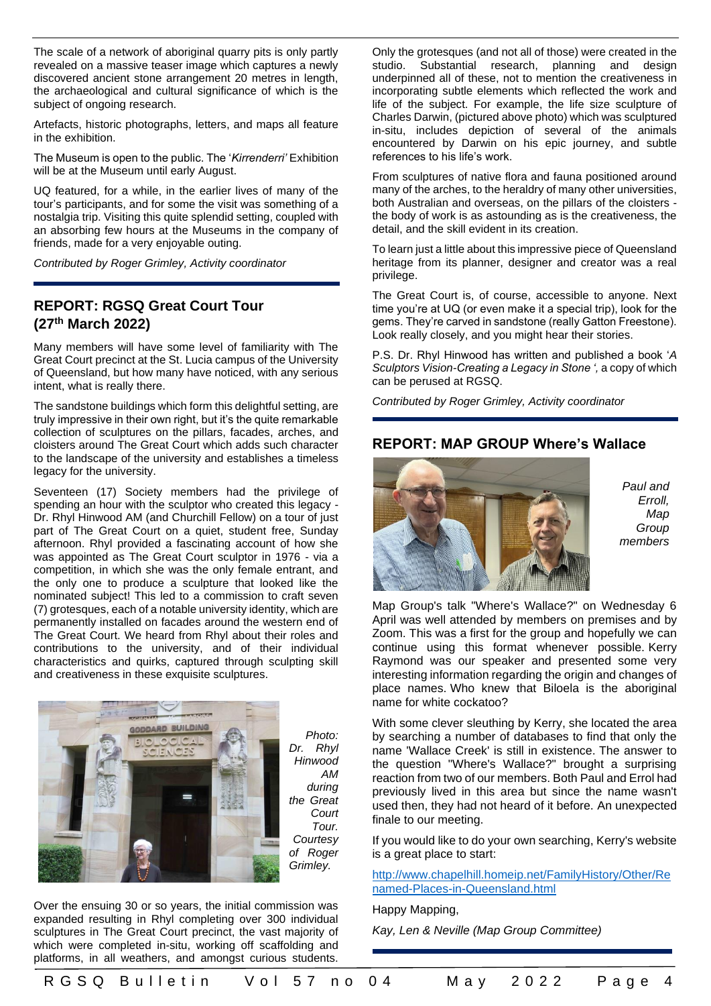The scale of a network of aboriginal quarry pits is only partly revealed on a massive teaser image which captures a newly discovered ancient stone arrangement 20 metres in length, the archaeological and cultural significance of which is the subject of ongoing research.

Artefacts, historic photographs, letters, and maps all feature in the exhibition.

The Museum is open to the public. The '*Kirrenderri'* Exhibition will be at the Museum until early August.

UQ featured, for a while, in the earlier lives of many of the tour's participants, and for some the visit was something of a nostalgia trip. Visiting this quite splendid setting, coupled with an absorbing few hours at the Museums in the company of friends, made for a very enjoyable outing.

*Contributed by Roger Grimley, Activity coordinator*

#### **REPORT: RGSQ Great Court Tour (27th March 2022)**

Many members will have some level of familiarity with The Great Court precinct at the St. Lucia campus of the University of Queensland, but how many have noticed, with any serious intent, what is really there.

The sandstone buildings which form this delightful setting, are truly impressive in their own right, but it's the quite remarkable collection of sculptures on the pillars, facades, arches, and cloisters around The Great Court which adds such character to the landscape of the university and establishes a timeless legacy for the university.

Seventeen (17) Society members had the privilege of spending an hour with the sculptor who created this legacy - Dr. Rhyl Hinwood AM (and Churchill Fellow) on a tour of just part of The Great Court on a quiet, student free, Sunday afternoon. Rhyl provided a fascinating account of how she was appointed as The Great Court sculptor in 1976 - via a competition, in which she was the only female entrant, and the only one to produce a sculpture that looked like the nominated subject! This led to a commission to craft seven (7) grotesques, each of a notable university identity, which are permanently installed on facades around the western end of The Great Court. We heard from Rhyl about their roles and contributions to the university, and of their individual characteristics and quirks, captured through sculpting skill and creativeness in these exquisite sculptures.



*Photo: Dr. Rhyl Hinwood AM during the Great Court Tour. Courtesy of Roger Grimley.*

Over the ensuing 30 or so years, the initial commission was expanded resulting in Rhyl completing over 300 individual sculptures in The Great Court precinct, the vast majority of which were completed in-situ, working off scaffolding and platforms, in all weathers, and amongst curious students. Only the grotesques (and not all of those) were created in the studio. Substantial research, planning and design underpinned all of these, not to mention the creativeness in incorporating subtle elements which reflected the work and life of the subject. For example, the life size sculpture of Charles Darwin, (pictured above photo) which was sculptured in-situ, includes depiction of several of the animals encountered by Darwin on his epic journey, and subtle references to his life's work.

From sculptures of native flora and fauna positioned around many of the arches, to the heraldry of many other universities, both Australian and overseas, on the pillars of the cloisters the body of work is as astounding as is the creativeness, the detail, and the skill evident in its creation.

To learn just a little about this impressive piece of Queensland heritage from its planner, designer and creator was a real privilege.

The Great Court is, of course, accessible to anyone. Next time you're at UQ (or even make it a special trip), look for the gems. They're carved in sandstone (really Gatton Freestone). Look really closely, and you might hear their stories.

P.S. Dr. Rhyl Hinwood has written and published a book '*A Sculptors Vision-Creating a Legacy in Stone ',* a copy of which can be perused at RGSQ.

*Contributed by Roger Grimley, Activity coordinator*

#### **REPORT: MAP GROUP Where's Wallace**



*Paul and Erroll, Map Group members*

Map Group's talk "Where's Wallace?" on Wednesday 6 April was well attended by members on premises and by Zoom. This was a first for the group and hopefully we can continue using this format whenever possible. Kerry Raymond was our speaker and presented some very interesting information regarding the origin and changes of place names. Who knew that Biloela is the aboriginal name for white cockatoo?

With some clever sleuthing by Kerry, she located the area by searching a number of databases to find that only the name 'Wallace Creek' is still in existence. The answer to the question "Where's Wallace?" brought a surprising reaction from two of our members. Both Paul and Errol had previously lived in this area but since the name wasn't used then, they had not heard of it before. An unexpected finale to our meeting.

If you would like to do your own searching, Kerry's website is a great place to start:

[http://www.chapelhill.homeip.net/FamilyHistory/Other/Re](http://www.chapelhill.homeip.net/FamilyHistory/Other/Renamed-Places-in-Queensland.html) [named-Places-in-Queensland.html](http://www.chapelhill.homeip.net/FamilyHistory/Other/Renamed-Places-in-Queensland.html)

Happy Mapping,

*Kay, Len & Neville (Map Group Committee)*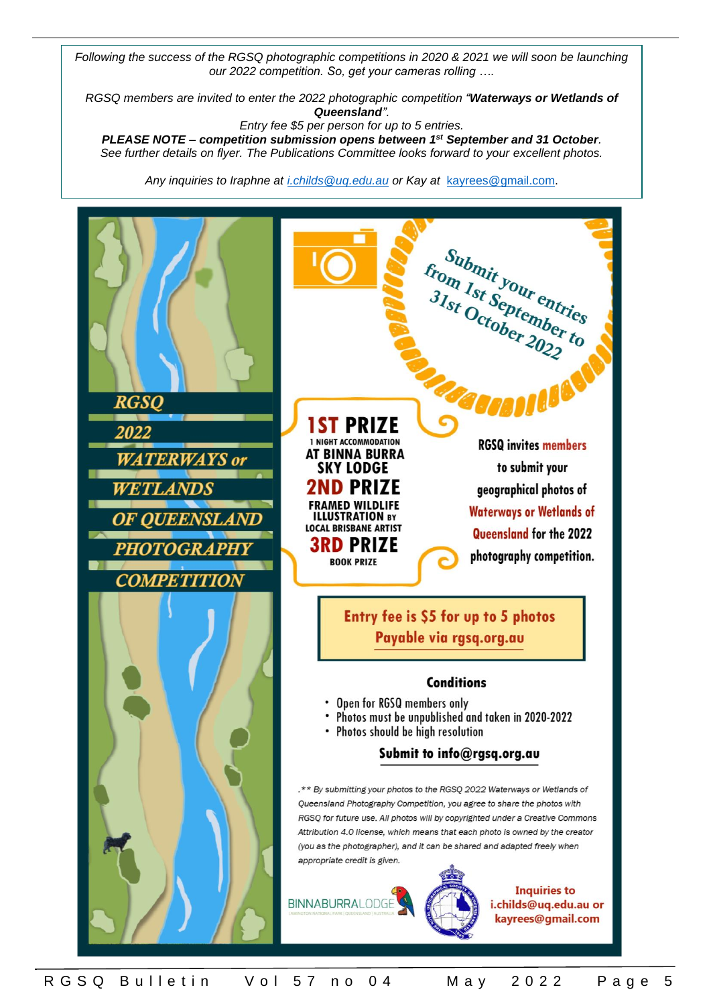*Following the success of the RGSQ photographic competitions in 2020 & 2021 we will soon be launching our 2022 competition. So, get your cameras rolling ….*

*RGSQ members are invited to enter the 2022 photographic competition "Waterways or Wetlands of Queensland".*

*Entry fee \$5 per person for up to 5 entries.*

*PLEASE NOTE – competition submission opens between 1 st September and 31 October. See further details on flyer. The Publications Committee looks forward to your excellent photos.*

*Any inquiries to Iraphne at [i.childs@uq.edu.au](mailto:i.childs@uq.edu.au) or Kay at* [kayrees@gmail.com.](mailto:kayrees@gmail.com)